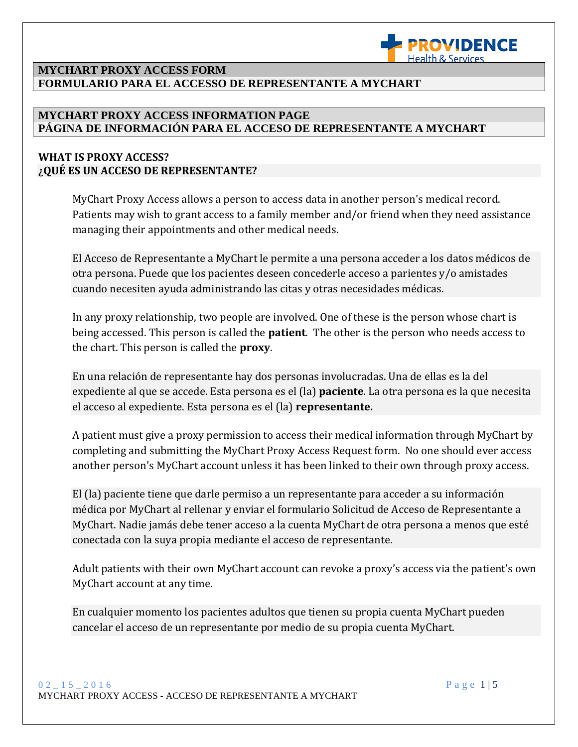

### **MYCHART PROXY ACCESS FORM FORMULARIO PARA EL ACCESSO DE REPRESENTANTE A MYCHART**

### **MYCHART PROXY ACCESS INFORMATION PAGE PÁGINA DE INFORMACIÓN PARA EL ACCESO DE REPRESENTANTE A MYCHART**

## **WHAT IS PROXY ACCESS? ¿QUÉ ES UN ACCESO DE REPRESENTANTE?**

MyChart Proxy Access allows a person to access data in another person's medical record. Patients may wish to grant access to a family member and/or friend when they need assistance managing their appointments and other medical needs.

L

El Acceso de Representante a MyChart le permite a una persona acceder a los datos médicos de otra persona. Puede que los pacientes deseen concederle acceso a parientes y/o amistades cuando necesiten ayuda administrando las citas y otras necesidades médicas.

In any proxy relationship, two people are involved. One of these is the person whose chart is being accessed. This person is called the **patient**. The other is the person who needs access to the chart. This person is called the **proxy**.

En una relación de representante hay dos personas involucradas. Una de ellas es la del expediente al que se accede. Esta persona es el (la) **paciente**. La otra persona es la que necesita el acceso al expediente. Esta persona es el (la) **representante.**

A patient must give a proxy permission to access their medical information through MyChart by completing and submitting the MyChart Proxy Access Request form. No one should ever access another person's MyChart account unless it has been linked to their own through proxy access.

El (la) paciente tiene que darle permiso a un representante para acceder a su información médica por MyChart al rellenar y enviar el formulario Solicitud de Acceso de Representante a MyChart. Nadie jamás debe tener acceso a la cuenta MyChart de otra persona a menos que esté conectada con la suya propia mediante el acceso de representante.

Adult patients with their own MyChart account can revoke a proxy's access via the patient's own MyChart account at any time.

En cualquier momento los pacientes adultos que tienen su propia cuenta MyChart pueden cancelar el acceso de un representante por medio de su propia cuenta MyChart.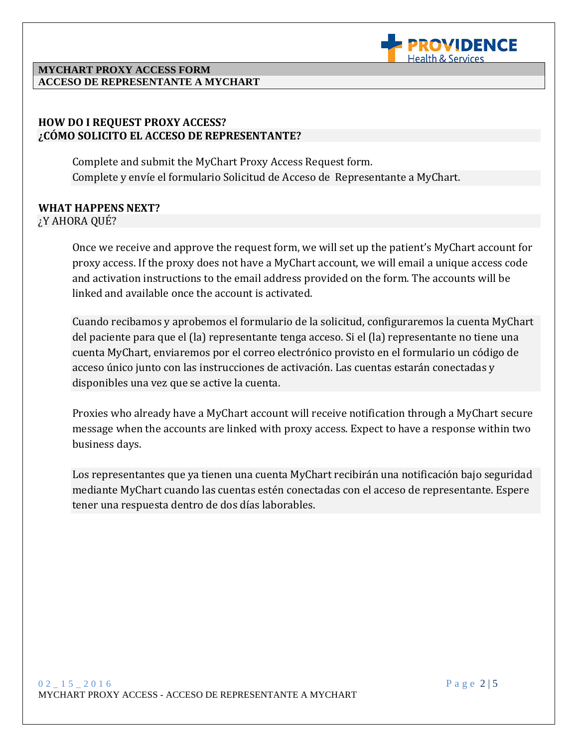

#### **MYCHART PROXY ACCESS FORM ACCESO DE REPRESENTANTE A MYCHART**

## **HOW DO I REQUEST PROXY ACCESS? ¿CÓMO SOLICITO EL ACCESO DE REPRESENTANTE?**

Complete and submit the MyChart Proxy Access Request form. Complete y envíe el formulario Solicitud de Acceso de Representante a MyChart.

### **WHAT HAPPENS NEXT?** ¿Y AHORA QUÉ?

Once we receive and approve the request form, we will set up the patient's MyChart account for proxy access. If the proxy does not have a MyChart account, we will email a unique access code and activation instructions to the email address provided on the form. The accounts will be linked and available once the account is activated.

L

Cuando recibamos y aprobemos el formulario de la solicitud, configuraremos la cuenta MyChart del paciente para que el (la) representante tenga acceso. Si el (la) representante no tiene una cuenta MyChart, enviaremos por el correo electrónico provisto en el formulario un código de acceso único junto con las instrucciones de activación. Las cuentas estarán conectadas y disponibles una vez que se active la cuenta.

Proxies who already have a MyChart account will receive notification through a MyChart secure message when the accounts are linked with proxy access. Expect to have a response within two business days.

Los representantes que ya tienen una cuenta MyChart recibirán una notificación bajo seguridad mediante MyChart cuando las cuentas estén conectadas con el acceso de representante. Espere tener una respuesta dentro de dos días laborables.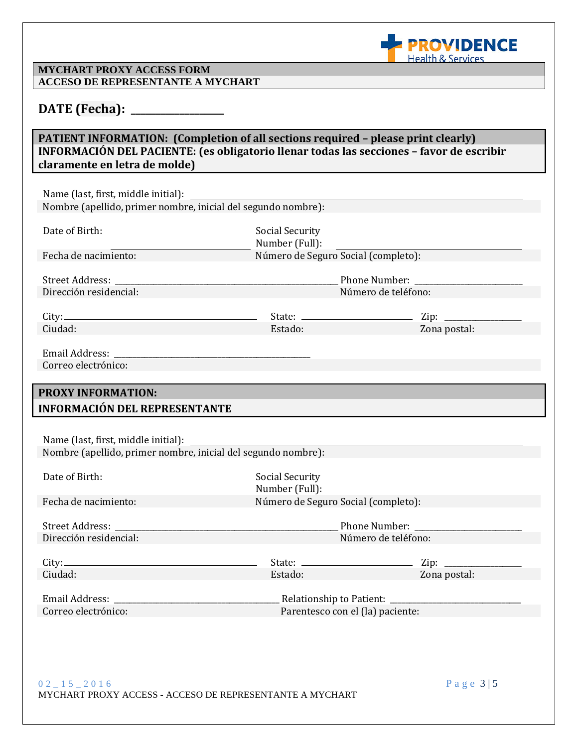

Zona postal:

### **MYCHART PROXY ACCESS FORM ACCESO DE REPRESENTANTE A MYCHART**

## **DATE (Fecha): \_\_\_\_\_\_\_\_\_\_\_\_\_\_\_\_\_\_\_**

## **PATIENT INFORMATION: (Completion of all sections required – please print clearly) INFORMACIÓN DEL PACIENTE: (es obligatorio llenar todas las secciones – favor de escribir claramente en letra de molde)**

L

| Name (last, first, middle initial):                           |
|---------------------------------------------------------------|
| Nombre (apellido, primer nombre, inicial del segundo nombre): |

| Date of Birth:                                | Social Security<br>Number (Full):                                                                                              |
|-----------------------------------------------|--------------------------------------------------------------------------------------------------------------------------------|
| Fecha de nacimiento:                          | Número de Seguro Social (completo):                                                                                            |
|                                               |                                                                                                                                |
| Street Address: No. 1996. The Street Address: | Phone Number:                                                                                                                  |
| Dirección residencial:                        | Número de teléfono:                                                                                                            |
|                                               |                                                                                                                                |
| City:                                         | Zip:<br>State: $\frac{1}{\sqrt{1-\frac{1}{2}}}\left\{ \frac{1}{2}, \frac{1}{2}, \frac{1}{2}, \frac{1}{2}, \frac{1}{2}\right\}$ |

| <b>ulty.</b> — |  |
|----------------|--|
| Ciudad:        |  |
|                |  |

| olale.  |  |
|---------|--|
| Estado: |  |

| Email Address:      |  |
|---------------------|--|
| Correo electrónico: |  |

# **PROXY INFORMATION: INFORMACIÓN DEL REPRESENTANTE**

Name (last, first, middle initial): Nombre (apellido, primer nombre, inicial del segundo nombre):

| Date of Birth:                  | Social Security<br>Number (Full):   |              |
|---------------------------------|-------------------------------------|--------------|
| Fecha de nacimiento:            | Número de Seguro Social (completo): |              |
|                                 |                                     |              |
|                                 |                                     |              |
| Dirección residencial:          | Número de teléfono:                 |              |
|                                 |                                     |              |
|                                 |                                     |              |
| Ciudad:                         | Estado:                             | Zona postal: |
|                                 |                                     |              |
| Email Address: North March 2014 |                                     |              |
| Correo electrónico:             | Parentesco con el (la) paciente:    |              |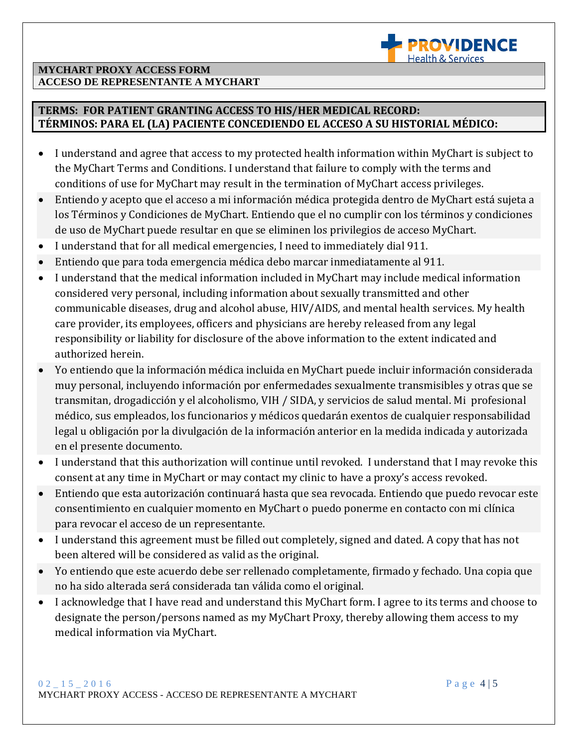

### **MYCHART PROXY ACCESS FORM ACCESO DE REPRESENTANTE A MYCHART**

## **TERMS: FOR PATIENT GRANTING ACCESS TO HIS/HER MEDICAL RECORD: TÉRMINOS: PARA EL (LA) PACIENTE CONCEDIENDO EL ACCESO A SU HISTORIAL MÉDICO:**

 I understand and agree that access to my protected health information within MyChart is subject to the MyChart Terms and Conditions. I understand that failure to comply with the terms and conditions of use for MyChart may result in the termination of MyChart access privileges.

L

- Entiendo y acepto que el acceso a mi información médica protegida dentro de MyChart está sujeta a los Términos y Condiciones de MyChart. Entiendo que el no cumplir con los términos y condiciones de uso de MyChart puede resultar en que se eliminen los privilegios de acceso MyChart.
- I understand that for all medical emergencies, I need to immediately dial 911.
- Entiendo que para toda emergencia médica debo marcar inmediatamente al 911.
- I understand that the medical information included in MyChart may include medical information considered very personal, including information about sexually transmitted and other communicable diseases, drug and alcohol abuse, HIV/AIDS, and mental health services. My health care provider, its employees, officers and physicians are hereby released from any legal responsibility or liability for disclosure of the above information to the extent indicated and authorized herein.
- Yo entiendo que la información médica incluida en MyChart puede incluir información considerada muy personal, incluyendo información por enfermedades sexualmente transmisibles y otras que se transmitan, drogadicción y el alcoholismo, VIH / SIDA, y servicios de salud mental. Mi profesional médico, sus empleados, los funcionarios y médicos quedarán exentos de cualquier responsabilidad legal u obligación por la divulgación de la información anterior en la medida indicada y autorizada en el presente documento.
- I understand that this authorization will continue until revoked. I understand that I may revoke this consent at any time in MyChart or may contact my clinic to have a proxy's access revoked.
- Entiendo que esta autorización continuará hasta que sea revocada. Entiendo que puedo revocar este consentimiento en cualquier momento en MyChart o puedo ponerme en contacto con mi clínica para revocar el acceso de un representante.
- I understand this agreement must be filled out completely, signed and dated. A copy that has not been altered will be considered as valid as the original.
- Yo entiendo que este acuerdo debe ser rellenado completamente, firmado y fechado. Una copia que no ha sido alterada será considerada tan válida como el original.
- I acknowledge that I have read and understand this MyChart form. I agree to its terms and choose to designate the person/persons named as my MyChart Proxy, thereby allowing them access to my medical information via MyChart.